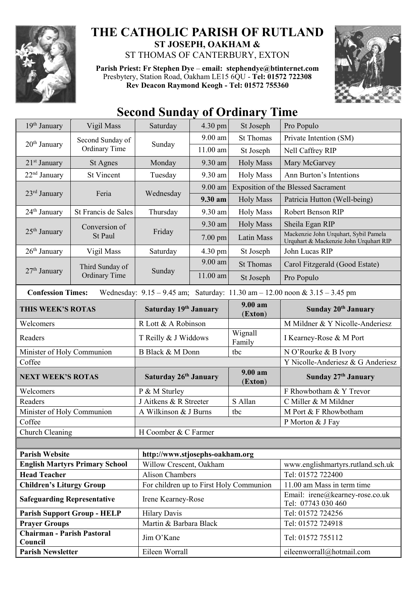

## **THE CATHOLIC PARISH OF RUTLAND ST JOSEPH, OAKHAM &**

ST THOMAS OF CANTERBURY, EXTON

**Parish Priest: Fr Stephen Dye** – **[email: stephendye@btinternet.com](mailto:email:%20%20stephendye@btinternet.com)** Presbytery, Station Road, Oakham LE15 6QU - **Tel: 01572 722308 Rev Deacon Raymond Keogh - Tel: 01572 755360**



## **Second Sunday of Ordinary Time**

| 19 <sup>th</sup> January                                                                                        | Vigil Mass                              | Saturday                                | 4.30 pm              | St Joseph             | Pro Populo                                                                      |  |
|-----------------------------------------------------------------------------------------------------------------|-----------------------------------------|-----------------------------------------|----------------------|-----------------------|---------------------------------------------------------------------------------|--|
| $20th$ January                                                                                                  | Second Sunday of<br>Ordinary Time       | Sunday                                  | 9.00 am              | <b>St Thomas</b>      | Private Intention (SM)                                                          |  |
|                                                                                                                 |                                         |                                         | $11.00$ am           | St Joseph             | Nell Caffrey RIP                                                                |  |
| 21 <sup>st</sup> January                                                                                        | St Agnes                                | Monday                                  | 9.30 am              | <b>Holy Mass</b>      | Mary McGarvey                                                                   |  |
| 22 <sup>nd</sup> January                                                                                        | <b>St Vincent</b>                       | Tuesday                                 | 9.30 am              | <b>Holy Mass</b>      | Ann Burton's Intentions                                                         |  |
| $23rd$ January                                                                                                  | Feria                                   | Wednesday                               | 9.00 am              |                       | <b>Exposition of the Blessed Sacrament</b>                                      |  |
|                                                                                                                 |                                         |                                         | 9.30 am              | <b>Holy Mass</b>      | Patricia Hutton (Well-being)                                                    |  |
| 24 <sup>th</sup> January                                                                                        | St Francis de Sales                     | Thursday                                | 9.30 am              | <b>Holy Mass</b>      | Robert Benson RIP                                                               |  |
| $25th$ January                                                                                                  | Conversion of<br>St Paul                | Friday                                  | 9.30 am              | <b>Holy Mass</b>      | Sheila Egan RIP                                                                 |  |
|                                                                                                                 |                                         |                                         | $7.00$ pm            | Latin Mass            | Mackenzie John Urquhart, Sybil Pamela<br>Urquhart & Mackenzie John Urquhart RIP |  |
| $26th$ January                                                                                                  | Vigil Mass                              | Saturday                                | $4.30 \text{ pm}$    | St Joseph             | John Lucas RIP                                                                  |  |
|                                                                                                                 | Third Sunday of<br><b>Ordinary Time</b> | Sunday                                  | 9.00 am              | <b>St Thomas</b>      | Carol Fitzgerald (Good Estate)                                                  |  |
| 27 <sup>th</sup> January                                                                                        |                                         |                                         | 11.00 am             | St Joseph             | Pro Populo                                                                      |  |
| Wednesday: $9.15 - 9.45$ am; Saturday: $11.30$ am $- 12.00$ noon & $3.15 - 3.45$ pm<br><b>Confession Times:</b> |                                         |                                         |                      |                       |                                                                                 |  |
| THIS WEEK'S ROTAS                                                                                               |                                         | Saturday 19th January                   |                      | $9.00 a$ m<br>(Exton) | Sunday 20th January                                                             |  |
| Welcomers                                                                                                       |                                         | R Lott & A Robinson                     |                      |                       | M Mildner & Y Nicolle-Anderiesz                                                 |  |
| Readers                                                                                                         |                                         | T Reilly & J Widdows                    |                      | Wignall<br>Family     | I Kearney-Rose & M Port                                                         |  |
| Minister of Holy Communion                                                                                      |                                         | <b>B</b> Black & M Donn                 |                      | tbc                   | N O'Rourke & B Ivory                                                            |  |
| Coffee                                                                                                          |                                         |                                         |                      |                       | Y Nicolle-Anderiesz & G Anderiesz                                               |  |
| <b>NEXT WEEK'S ROTAS</b>                                                                                        |                                         | Saturday 26th January                   |                      | $9.00 a$ m<br>(Exton) | Sunday 27th January                                                             |  |
| Welcomers                                                                                                       |                                         | P & M Sturley                           |                      |                       | F Rhowbotham & Y Trevor                                                         |  |
| Readers                                                                                                         |                                         | J Aitkens & R Streeter<br>S Allan       |                      |                       | C Miller & M Mildner                                                            |  |
| Minister of Holy Communion                                                                                      |                                         | A Wilkinson & J Burns<br>tbc            |                      |                       | M Port & F Rhowbotham                                                           |  |
| Coffee                                                                                                          |                                         |                                         |                      |                       | P Morton & J Fay                                                                |  |
|                                                                                                                 | Church Cleaning                         |                                         | H Coomber & C Farmer |                       |                                                                                 |  |
|                                                                                                                 |                                         |                                         |                      |                       |                                                                                 |  |
| <b>Parish Website</b><br>http://www.stjosephs-oakham.org                                                        |                                         |                                         |                      |                       |                                                                                 |  |
| <b>English Martyrs Primary School</b>                                                                           |                                         | Willow Crescent, Oakham                 |                      |                       | www.englishmartyrs.rutland.sch.uk                                               |  |
| <b>Head Teacher</b>                                                                                             |                                         | <b>Alison Chambers</b>                  |                      |                       | Tel: 01572 722400                                                               |  |
| <b>Children's Liturgy Group</b>                                                                                 |                                         | For children up to First Holy Communion |                      |                       | 11.00 am Mass in term time                                                      |  |
| <b>Safeguarding Representative</b>                                                                              |                                         | Irene Kearney-Rose                      |                      |                       | Email: irene@kearney-rose.co.uk<br>Tel: 07743 030 460                           |  |
| <b>Parish Support Group - HELP</b>                                                                              |                                         | <b>Hilary Davis</b>                     |                      |                       | Tel: 01572 724256                                                               |  |
| <b>Prayer Groups</b>                                                                                            |                                         | Martin & Barbara Black                  |                      |                       | Tel: 01572 724918                                                               |  |
| <b>Chairman - Parish Pastoral</b><br>Council                                                                    |                                         | Jim O'Kane                              |                      |                       | Tel: 01572 755112                                                               |  |
| <b>Parish Newsletter</b>                                                                                        |                                         | Eileen Worrall                          |                      |                       | eileenworrall@hotmail.com                                                       |  |